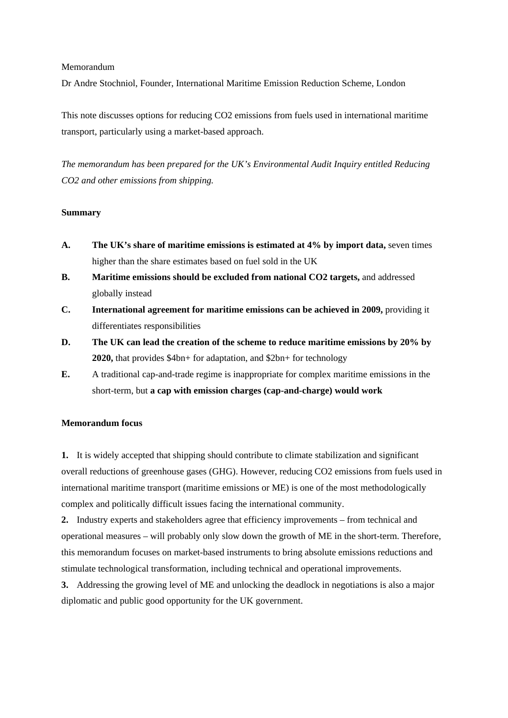#### Memorandum

Dr Andre Stochniol, Founder, International Maritime Emission Reduction Scheme, London

This note discusses options for reducing CO2 emissions from fuels used in international maritime transport, particularly using a market-based approach.

*The memorandum has been prepared for the UK's Environmental Audit Inquiry entitled Reducing CO2 and other emissions from shipping.* 

### **Summary**

- **A. The UK's share of maritime emissions is estimated at 4% by import data,** seven times higher than the share estimates based on fuel sold in the UK
- **B. Maritime emissions should be excluded from national CO2 targets,** and addressed globally instead
- **C. International agreement for maritime emissions can be achieved in 2009,** providing it differentiates responsibilities
- **D. The UK can lead the creation of the scheme to reduce maritime emissions by 20% by 2020,** that provides \$4bn+ for adaptation, and \$2bn+ for technology
- **E.** A traditional cap-and-trade regime is inappropriate for complex maritime emissions in the short-term, but **a cap with emission charges (cap-and-charge) would work**

### **Memorandum focus**

**1.** It is widely accepted that shipping should contribute to climate stabilization and significant overall reductions of greenhouse gases (GHG). However, reducing CO2 emissions from fuels used in international maritime transport (maritime emissions or ME) is one of the most methodologically complex and politically difficult issues facing the international community.

**2.** Industry experts and stakeholders agree that efficiency improvements – from technical and operational measures – will probably only slow down the growth of ME in the short-term. Therefore, this memorandum focuses on market-based instruments to bring absolute emissions reductions and stimulate technological transformation, including technical and operational improvements.

**3.** Addressing the growing level of ME and unlocking the deadlock in negotiations is also a major diplomatic and public good opportunity for the UK government.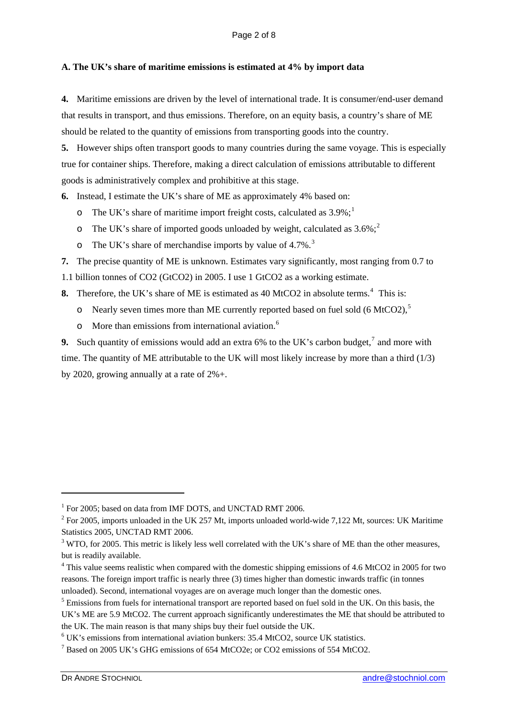# **A. The UK's share of maritime emissions is estimated at 4% by import data**

**4.** Maritime emissions are driven by the level of international trade. It is consumer/end-user demand that results in transport, and thus emissions. Therefore, on an equity basis, a country's share of ME should be related to the quantity of emissions from transporting goods into the country.

**5.** However ships often transport goods to many countries during the same voyage. This is especially true for container ships. Therefore, making a direct calculation of emissions attributable to different goods is administratively complex and prohibitive at this stage.

**6.** Instead, I estimate the UK's share of ME as approximately 4% based on:

- $\sigma$  The UK's share of maritime import freight costs, calculated as 3.9%;<sup>[1](#page-1-0)</sup>
- o The UK's share of imported goods unloaded by weight, calculated as  $3.6\%$ ;<sup>[2](#page-1-1)</sup>
- $\sigma$  The UK's share of merchandise imports by value of 4.7%.<sup>[3](#page-1-2)</sup>

**7.** The precise quantity of ME is unknown. Estimates vary significantly, most ranging from 0.7 to

1.1 billion tonnes of CO2 (GtCO2) in 2005. I use 1 GtCO2 as a working estimate.

**8.** Therefore, the UK's share of ME is estimated as [4](#page-1-3)0 MtCO2 in absolute terms.<sup>4</sup> This is:

- $\circ$  Nearly seven times more than ME currently reported based on fuel sold (6 MtCO2),<sup>[5](#page-1-4)</sup>
- o More than emissions from international aviation.[6](#page-1-5)

**9.** Such quantity of emissions would add an extra 6% to the UK's carbon budget,  $\frac{7}{7}$  $\frac{7}{7}$  $\frac{7}{7}$  and more with time. The quantity of ME attributable to the UK will most likely increase by more than a third (1/3) by 2020, growing annually at a rate of 2%+.

<sup>&</sup>lt;sup>1</sup> For 2005; based on data from IMF DOTS, and UNCTAD RMT 2006.

<span id="page-1-1"></span><span id="page-1-0"></span> $2^2$  For 2005, imports unloaded in the UK 257 Mt, imports unloaded world-wide 7,122 Mt, sources: UK Maritime Statistics 2005, UNCTAD RMT 2006.

<span id="page-1-2"></span> $3$  WTO, for 2005. This metric is likely less well correlated with the UK's share of ME than the other measures, but is readily available.

<span id="page-1-3"></span><sup>&</sup>lt;sup>4</sup> This value seems realistic when compared with the domestic shipping emissions of 4.6 MtCO2 in 2005 for two reasons. The foreign import traffic is nearly three (3) times higher than domestic inwards traffic (in tonnes unloaded). Second, international voyages are on average much longer than the domestic ones.

<span id="page-1-4"></span><sup>&</sup>lt;sup>5</sup> Emissions from fuels for international transport are reported based on fuel sold in the UK. On this basis, the UK's ME are 5.9 MtCO2. The current approach significantly underestimates the ME that should be attributed to the UK. The main reason is that many ships buy their fuel outside the UK.

<span id="page-1-5"></span>UK's emissions from international aviation bunkers: 35.4 MtCO2, source UK statistics. 7

<span id="page-1-6"></span>Based on 2005 UK's GHG emissions of 654 MtCO2e; or CO2 emissions of 554 MtCO2.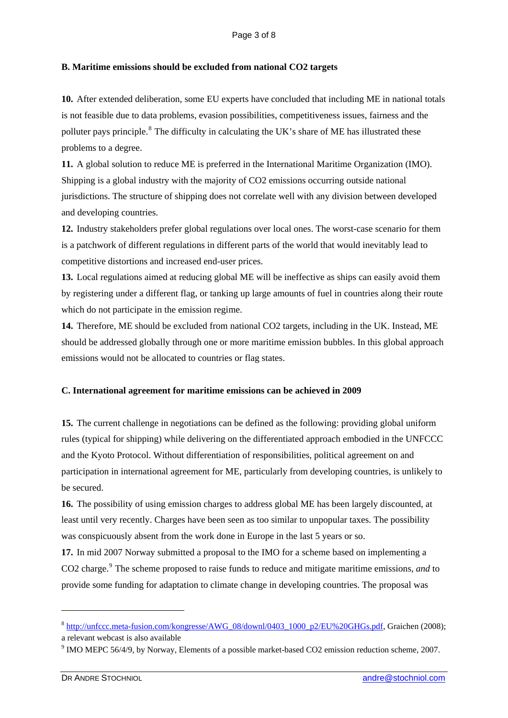# **B. Maritime emissions should be excluded from national CO2 targets**

**10.** After extended deliberation, some EU experts have concluded that including ME in national totals is not feasible due to data problems, evasion possibilities, competitiveness issues, fairness and the polluter pays principle.<sup>[8](#page-2-0)</sup> The difficulty in calculating the UK's share of ME has illustrated these problems to a degree.

**11.** A global solution to reduce ME is preferred in the International Maritime Organization (IMO). Shipping is a global industry with the majority of CO2 emissions occurring outside national jurisdictions. The structure of shipping does not correlate well with any division between developed and developing countries.

**12.** Industry stakeholders prefer global regulations over local ones. The worst-case scenario for them is a patchwork of different regulations in different parts of the world that would inevitably lead to competitive distortions and increased end-user prices.

**13.** Local regulations aimed at reducing global ME will be ineffective as ships can easily avoid them by registering under a different flag, or tanking up large amounts of fuel in countries along their route which do not participate in the emission regime.

**14.** Therefore, ME should be excluded from national CO2 targets, including in the UK. Instead, ME should be addressed globally through one or more maritime emission bubbles. In this global approach emissions would not be allocated to countries or flag states.

### **C. International agreement for maritime emissions can be achieved in 2009**

**15.** The current challenge in negotiations can be defined as the following: providing global uniform rules (typical for shipping) while delivering on the differentiated approach embodied in the UNFCCC and the Kyoto Protocol. Without differentiation of responsibilities, political agreement on and participation in international agreement for ME, particularly from developing countries, is unlikely to be secured.

**16.** The possibility of using emission charges to address global ME has been largely discounted, at least until very recently. Charges have been seen as too similar to unpopular taxes. The possibility was conspicuously absent from the work done in Europe in the last 5 years or so.

**17.** In mid 2007 Norway submitted a proposal to the IMO for a scheme based on implementing a CO2 charge.<sup>[9](#page-2-1)</sup> The scheme proposed to raise funds to reduce and mitigate maritime emissions, *and* to provide some funding for adaptation to climate change in developing countries. The proposal was

<span id="page-2-0"></span><sup>8</sup> [http://unfccc.meta-fusion.com/kongresse/AWG\\_08/downl/0403\\_1000\\_p2/EU%20GHGs.pdf](http://unfccc.meta-fusion.com/kongresse/AWG_08/downl/0403_1000_p2/EU%20GHGs.pdf), Graichen (2008); a relevant webcast is also available

<span id="page-2-1"></span><sup>&</sup>lt;sup>9</sup> IMO MEPC 56/4/9, by Norway, Elements of a possible market-based CO2 emission reduction scheme, 2007.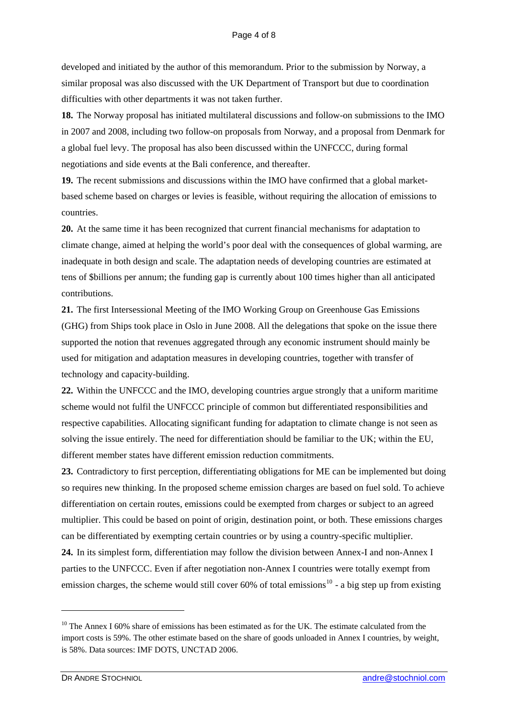developed and initiated by the author of this memorandum. Prior to the submission by Norway, a similar proposal was also discussed with the UK Department of Transport but due to coordination difficulties with other departments it was not taken further.

**18.** The Norway proposal has initiated multilateral discussions and follow-on submissions to the IMO in 2007 and 2008, including two follow-on proposals from Norway, and a proposal from Denmark for a global fuel levy. The proposal has also been discussed within the UNFCCC, during formal negotiations and side events at the Bali conference, and thereafter.

**19.** The recent submissions and discussions within the IMO have confirmed that a global marketbased scheme based on charges or levies is feasible, without requiring the allocation of emissions to countries.

**20.** At the same time it has been recognized that current financial mechanisms for adaptation to climate change, aimed at helping the world's poor deal with the consequences of global warming, are inadequate in both design and scale. The adaptation needs of developing countries are estimated at tens of \$billions per annum; the funding gap is currently about 100 times higher than all anticipated contributions.

**21.** The first Intersessional Meeting of the IMO Working Group on Greenhouse Gas Emissions (GHG) from Ships took place in Oslo in June 2008. All the delegations that spoke on the issue there supported the notion that revenues aggregated through any economic instrument should mainly be used for mitigation and adaptation measures in developing countries, together with transfer of technology and capacity-building.

**22.** Within the UNFCCC and the IMO, developing countries argue strongly that a uniform maritime scheme would not fulfil the UNFCCC principle of common but differentiated responsibilities and respective capabilities. Allocating significant funding for adaptation to climate change is not seen as solving the issue entirely. The need for differentiation should be familiar to the UK; within the EU, different member states have different emission reduction commitments.

**23.** Contradictory to first perception, differentiating obligations for ME can be implemented but doing so requires new thinking. In the proposed scheme emission charges are based on fuel sold. To achieve differentiation on certain routes, emissions could be exempted from charges or subject to an agreed multiplier. This could be based on point of origin, destination point, or both. These emissions charges can be differentiated by exempting certain countries or by using a country-specific multiplier.

**24.** In its simplest form, differentiation may follow the division between Annex-I and non-Annex I parties to the UNFCCC. Even if after negotiation non-Annex I countries were totally exempt from emission charges, the scheme would still cover 60% of total emissions<sup>[10](#page-3-0)</sup> - a big step up from existing

<span id="page-3-0"></span> $10$  The Annex I 60% share of emissions has been estimated as for the UK. The estimate calculated from the import costs is 59%. The other estimate based on the share of goods unloaded in Annex I countries, by weight, is 58%. Data sources: IMF DOTS, UNCTAD 2006.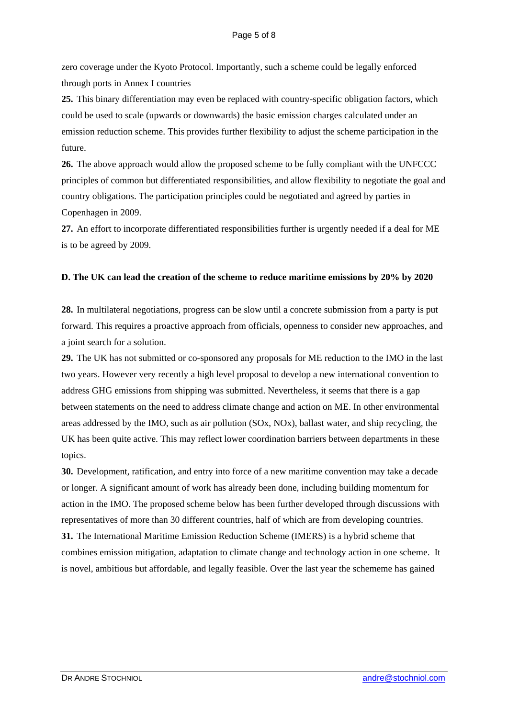zero coverage under the Kyoto Protocol. Importantly, such a scheme could be legally enforced through ports in Annex I countries

**25.** This binary differentiation may even be replaced with country-specific obligation factors, which could be used to scale (upwards or downwards) the basic emission charges calculated under an emission reduction scheme. This provides further flexibility to adjust the scheme participation in the future.

**26.** The above approach would allow the proposed scheme to be fully compliant with the UNFCCC principles of common but differentiated responsibilities, and allow flexibility to negotiate the goal and country obligations. The participation principles could be negotiated and agreed by parties in Copenhagen in 2009.

**27.** An effort to incorporate differentiated responsibilities further is urgently needed if a deal for ME is to be agreed by 2009.

### **D. The UK can lead the creation of the scheme to reduce maritime emissions by 20% by 2020**

**28.** In multilateral negotiations, progress can be slow until a concrete submission from a party is put forward. This requires a proactive approach from officials, openness to consider new approaches, and a joint search for a solution.

**29.** The UK has not submitted or co-sponsored any proposals for ME reduction to the IMO in the last two years. However very recently a high level proposal to develop a new international convention to address GHG emissions from shipping was submitted. Nevertheless, it seems that there is a gap between statements on the need to address climate change and action on ME. In other environmental areas addressed by the IMO, such as air pollution (SOx, NOx), ballast water, and ship recycling, the UK has been quite active. This may reflect lower coordination barriers between departments in these topics.

**30.** Development, ratification, and entry into force of a new maritime convention may take a decade or longer. A significant amount of work has already been done, including building momentum for action in the IMO. The proposed scheme below has been further developed through discussions with representatives of more than 30 different countries, half of which are from developing countries. **31.** The International Maritime Emission Reduction Scheme (IMERS) is a hybrid scheme that combines emission mitigation, adaptation to climate change and technology action in one scheme. It is novel, ambitious but affordable, and legally feasible. Over the last year the schememe has gained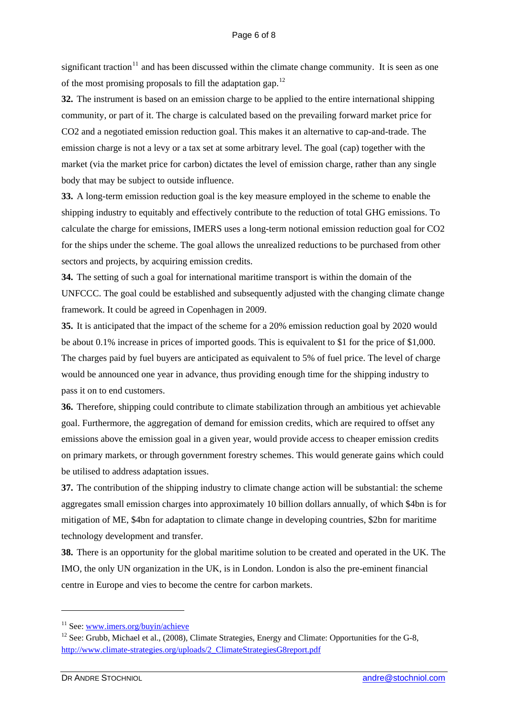significant traction<sup>11</sup> and has been discussed within the climate change community. It is seen as one of the most promising proposals to fill the adaptation gap.<sup>12</sup>

**32.** The instrument is based on an emission charge to be applied to the entire international shipping community, or part of it. The charge is calculated based on the prevailing forward market price for CO2 and a negotiated emission reduction goal. This makes it an alternative to cap-and-trade. The emission charge is not a levy or a tax set at some arbitrary level. The goal (cap) together with the market (via the market price for carbon) dictates the level of emission charge, rather than any single body that may be subject to outside influence.

**33.** A long-term emission reduction goal is the key measure employed in the scheme to enable the shipping industry to equitably and effectively contribute to the reduction of total GHG emissions. To calculate the charge for emissions, IMERS uses a long-term notional emission reduction goal for CO2 for the ships under the scheme. The goal allows the unrealized reductions to be purchased from other sectors and projects, by acquiring emission credits.

**34.** The setting of such a goal for international maritime transport is within the domain of the UNFCCC. The goal could be established and subsequently adjusted with the changing climate change framework. It could be agreed in Copenhagen in 2009.

**35.** It is anticipated that the impact of the scheme for a 20% emission reduction goal by 2020 would be about 0.1% increase in prices of imported goods. This is equivalent to \$1 for the price of \$1,000. The charges paid by fuel buyers are anticipated as equivalent to 5% of fuel price. The level of charge would be announced one year in advance, thus providing enough time for the shipping industry to pass it on to end customers.

**36.** Therefore, shipping could contribute to climate stabilization through an ambitious yet achievable goal. Furthermore, the aggregation of demand for emission credits, which are required to offset any emissions above the emission goal in a given year, would provide access to cheaper emission credits on primary markets, or through government forestry schemes. This would generate gains which could be utilised to address adaptation issues.

**37.** The contribution of the shipping industry to climate change action will be substantial: the scheme aggregates small emission charges into approximately 10 billion dollars annually, of which \$4bn is for mitigation of ME, \$4bn for adaptation to climate change in developing countries, \$2bn for maritime technology development and transfer.

**38.** There is an opportunity for the global maritime solution to be created and operated in the UK. The IMO, the only UN organization in the UK, is in London. London is also the pre-eminent financial centre in Europe and vies to become the centre for carbon markets.

<sup>&</sup>lt;sup>11</sup> See: www.imers.org/buyin/achieve<br><sup>12</sup> See: Grubb, Michael et al., (2008), Climate Strategies, Energy and Climate: Opportunities for the G-8, [http://www.climate-strategies.org/uploads/2\\_ClimateStrategiesG8report.pdf](http://www.climate-strategies.org/uploads/2_ClimateStrategiesG8report.pdf)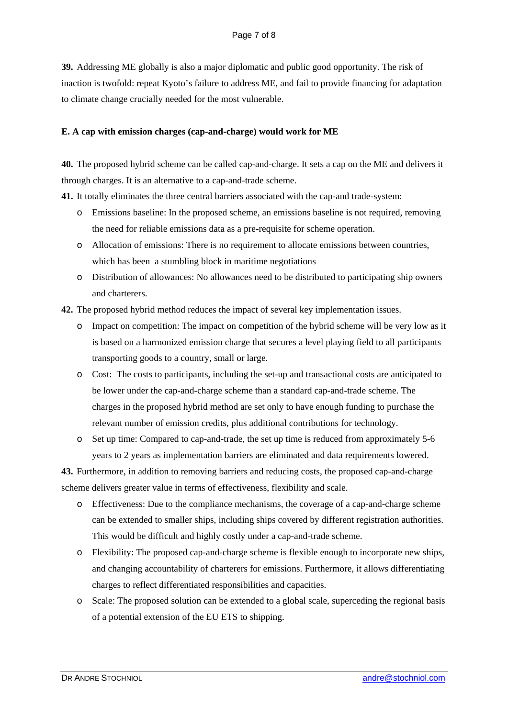**39.** Addressing ME globally is also a major diplomatic and public good opportunity. The risk of inaction is twofold: repeat Kyoto's failure to address ME, and fail to provide financing for adaptation to climate change crucially needed for the most vulnerable.

# **E. A cap with emission charges (cap-and-charge) would work for ME**

**40.** The proposed hybrid scheme can be called cap-and-charge. It sets a cap on the ME and delivers it through charges. It is an alternative to a cap-and-trade scheme.

**41.** It totally eliminates the three central barriers associated with the cap-and trade-system:

- o Emissions baseline: In the proposed scheme, an emissions baseline is not required, removing the need for reliable emissions data as a pre-requisite for scheme operation.
- o Allocation of emissions: There is no requirement to allocate emissions between countries, which has been a stumbling block in maritime negotiations
- o Distribution of allowances: No allowances need to be distributed to participating ship owners and charterers.
- **42.** The proposed hybrid method reduces the impact of several key implementation issues.
	- o Impact on competition: The impact on competition of the hybrid scheme will be very low as it is based on a harmonized emission charge that secures a level playing field to all participants transporting goods to a country, small or large.
	- o Cost: The costs to participants, including the set-up and transactional costs are anticipated to be lower under the cap-and-charge scheme than a standard cap-and-trade scheme. The charges in the proposed hybrid method are set only to have enough funding to purchase the relevant number of emission credits, plus additional contributions for technology.
	- o Set up time: Compared to cap-and-trade, the set up time is reduced from approximately 5-6 years to 2 years as implementation barriers are eliminated and data requirements lowered.

**43.** Furthermore, in addition to removing barriers and reducing costs, the proposed cap-and-charge scheme delivers greater value in terms of effectiveness, flexibility and scale.

- o Effectiveness: Due to the compliance mechanisms, the coverage of a cap-and-charge scheme can be extended to smaller ships, including ships covered by different registration authorities. This would be difficult and highly costly under a cap-and-trade scheme.
- o Flexibility: The proposed cap-and-charge scheme is flexible enough to incorporate new ships, and changing accountability of charterers for emissions. Furthermore, it allows differentiating charges to reflect differentiated responsibilities and capacities.
- o Scale: The proposed solution can be extended to a global scale, superceding the regional basis of a potential extension of the EU ETS to shipping.